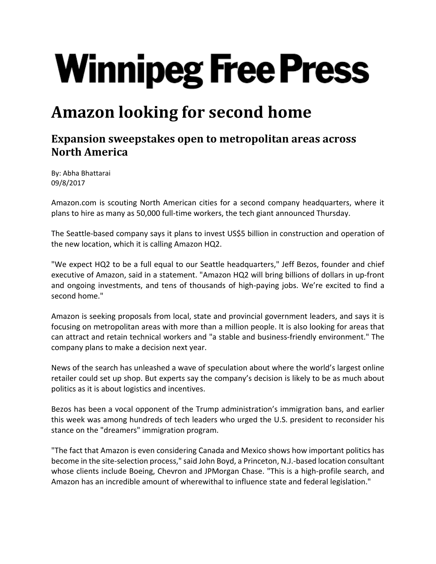## **Winnipeg Free Press**

## **Amazon looking for second home**

## **Expansion sweepstakes open to metropolitan areas across North America**

By: Abha Bhattarai 09/8/2017

Amazon.com is scouting North American cities for a second company headquarters, where it plans to hire as many as 50,000 full‐time workers, the tech giant announced Thursday.

The Seattle-based company says it plans to invest US\$5 billion in construction and operation of the new location, which it is calling Amazon HQ2.

"We expect HQ2 to be a full equal to our Seattle headquarters," Jeff Bezos, founder and chief executive of Amazon, said in a statement. "Amazon HQ2 will bring billions of dollars in up-front and ongoing investments, and tens of thousands of high‐paying jobs. We're excited to find a second home."

Amazon is seeking proposals from local, state and provincial government leaders, and says it is focusing on metropolitan areas with more than a million people. It is also looking for areas that can attract and retain technical workers and "a stable and business‐friendly environment." The company plans to make a decision next year.

News of the search has unleashed a wave of speculation about where the world's largest online retailer could set up shop. But experts say the company's decision is likely to be as much about politics as it is about logistics and incentives.

Bezos has been a vocal opponent of the Trump administration's immigration bans, and earlier this week was among hundreds of tech leaders who urged the U.S. president to reconsider his stance on the "dreamers" immigration program.

"The fact that Amazon is even considering Canada and Mexico shows how important politics has become in the site‐selection process," said John Boyd, a Princeton, N.J.‐based location consultant whose clients include Boeing, Chevron and JPMorgan Chase. "This is a high-profile search, and Amazon has an incredible amount of wherewithal to influence state and federal legislation."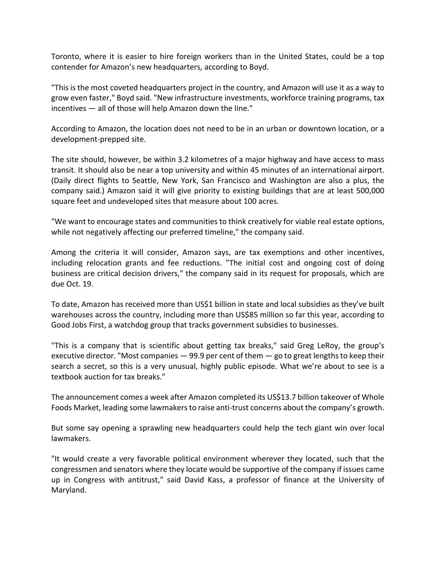Toronto, where it is easier to hire foreign workers than in the United States, could be a top contender for Amazon's new headquarters, according to Boyd.

"This is the most coveted headquarters project in the country, and Amazon will use it as a way to grow even faster," Boyd said. "New infrastructure investments, workforce training programs, tax incentives — all of those will help Amazon down the line."

According to Amazon, the location does not need to be in an urban or downtown location, or a development‐prepped site.

The site should, however, be within 3.2 kilometres of a major highway and have access to mass transit. It should also be near a top university and within 45 minutes of an international airport. (Daily direct flights to Seattle, New York, San Francisco and Washington are also a plus, the company said.) Amazon said it will give priority to existing buildings that are at least 500,000 square feet and undeveloped sites that measure about 100 acres.

"We want to encourage states and communities to think creatively for viable real estate options, while not negatively affecting our preferred timeline," the company said.

Among the criteria it will consider, Amazon says, are tax exemptions and other incentives, including relocation grants and fee reductions. "The initial cost and ongoing cost of doing business are critical decision drivers," the company said in its request for proposals, which are due Oct. 19.

To date, Amazon has received more than US\$1 billion in state and local subsidies as they've built warehouses across the country, including more than US\$85 million so far this year, according to Good Jobs First, a watchdog group that tracks government subsidies to businesses.

"This is a company that is scientific about getting tax breaks," said Greg LeRoy, the group's executive director. "Most companies  $-$  99.9 per cent of them  $-$  go to great lengths to keep their search a secret, so this is a very unusual, highly public episode. What we're about to see is a textbook auction for tax breaks."

The announcement comes a week after Amazon completed its US\$13.7 billion takeover of Whole Foods Market, leading some lawmakers to raise anti-trust concerns about the company's growth.

But some say opening a sprawling new headquarters could help the tech giant win over local lawmakers.

"It would create a very favorable political environment wherever they located, such that the congressmen and senators where they locate would be supportive of the company if issues came up in Congress with antitrust," said David Kass, a professor of finance at the University of Maryland.